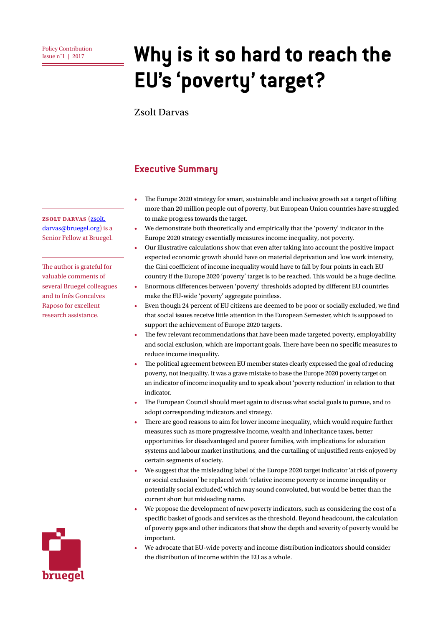# **Policy Contribution**<br>**Issue n'1 | 2017 <b>Why is it so hard to reach the EU's 'poverty' target?**

Zsolt Darvas

### **Executive Summary**

- The Europe 2020 strategy for smart, sustainable and inclusive growth set a target of lifting more than 20 million people out of poverty, but European Union countries have struggled to make progress towards the target.
- We demonstrate both theoretically and empirically that the 'poverty' indicator in the Europe 2020 strategy essentially measures income inequality, not poverty.
- Our illustrative calculations show that even after taking into account the positive impact expected economic growth should have on material deprivation and low work intensity, the Gini coefficient of income inequality would have to fall by four points in each EU country if the Europe 2020 'poverty' target is to be reached. This would be a huge decline.
- Enormous differences between 'poverty' thresholds adopted by different EU countries make the EU-wide 'poverty' aggregate pointless.
- Even though 24 percent of EU citizens are deemed to be poor or socially excluded, we find that social issues receive little attention in the European Semester, which is supposed to support the achievement of Europe 2020 targets.
- The few relevant recommendations that have been made targeted poverty, employability and social exclusion, which are important goals. There have been no specific measures to reduce income inequality.
- The political agreement between EU member states clearly expressed the goal of reducing poverty, not inequality. It was a grave mistake to base the Europe 2020 poverty target on an indicator of income inequality and to speak about 'poverty reduction' in relation to that indicator.
- The European Council should meet again to discuss what social goals to pursue, and to adopt corresponding indicators and strategy.
- There are good reasons to aim for lower income inequality, which would require further measures such as more progressive income, wealth and inheritance taxes, better opportunities for disadvantaged and poorer families, with implications for education systems and labour market institutions, and the curtailing of unjustified rents enjoyed by certain segments of society.
- We suggest that the misleading label of the Europe 2020 target indicator 'at risk of poverty or social exclusion' be replaced with 'relative income poverty or income inequality or potentially social excluded', which may sound convoluted, but would be better than the current short but misleading name.
- We propose the development of new poverty indicators, such as considering the cost of a specific basket of goods and services as the threshold. Beyond headcount, the calculation of poverty gaps and other indicators that show the depth and severity of poverty would be important.
- We advocate that EU-wide poverty and income distribution indicators should consider the distribution of income within the EU as a whole.

**Zsolt Darvas** ([zsolt.](mailto:zsolt.darvas@bruegel.org) [darvas@bruegel.org\)](mailto:zsolt.darvas@bruegel.org) is a Senior Fellow at Bruegel.

The author is grateful for valuable comments of several Bruegel colleagues and to Inês Goncalves Raposo for excellent research assistance.

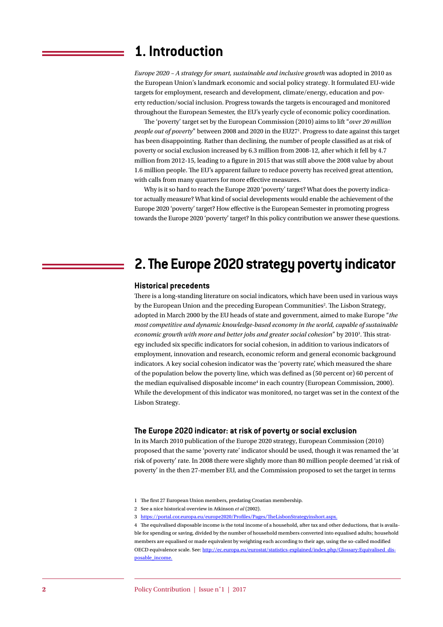### **1. Introduction**

*Europe 2020 – A strategy for smart, sustainable and inclusive growth* was adopted in 2010 as the European Union's landmark economic and social policy strategy. It formulated EU-wide targets for employment, research and development, climate/energy, education and poverty reduction/social inclusion. Progress towards the targets is encouraged and monitored throughout the European Semester, the EU's yearly cycle of economic policy coordination.

The 'poverty' target set by the European Commission (2010) aims to lift "*over 20 million*  people out of poverty" between 2008 and 2020 in the EU27<sup>1</sup>. Progress to date against this target has been disappointing. Rather than declining, the number of people classified as at risk of poverty or social exclusion increased by 6.3 million from 2008-12, after which it fell by 4.7 million from 2012-15, leading to a figure in 2015 that was still above the 2008 value by about 1.6 million people. The EU's apparent failure to reduce poverty has received great attention, with calls from many quarters for more effective measures.

Why is it so hard to reach the Europe 2020 'poverty' target? What does the poverty indicator actually measure? What kind of social developments would enable the achievement of the Europe 2020 'poverty' target? How effective is the European Semester in promoting progress towards the Europe 2020 'poverty' target? In this policy contribution we answer these questions.

### **2. The Europe 2020 strategy poverty indicator**

#### **Historical precedents**

There is a long-standing literature on social indicators, which have been used in various ways by the European Union and the preceding European Communities<sup>2</sup>. The Lisbon Strategy, adopted in March 2000 by the EU heads of state and government, aimed to make Europe "*the most competitive and dynamic knowledge-based economy in the world, capable of sustainable*  economic growth with more and better jobs and greater social cohesion" by 2010<sup>3</sup>. This strategy included six specific indicators for social cohesion, in addition to various indicators of employment, innovation and research, economic reform and general economic background indicators. A key social cohesion indicator was the 'poverty rate', which measured the share of the population below the poverty line, which was defined as (50 percent or) 60 percent of the median equivalised disposable income<sup>4</sup> in each country (European Commission, 2000). While the development of this indicator was monitored, no target was set in the context of the Lisbon Strategy.

#### **The Europe 2020 indicator: at risk of poverty or social exclusion**

In its March 2010 publication of the Europe 2020 strategy, European Commission (2010) proposed that the same 'poverty rate' indicator should be used, though it was renamed the 'at risk of poverty' rate. In 2008 there were slightly more than 80 million people deemed 'at risk of poverty' in the then 27-member EU, and the Commission proposed to set the target in terms

<sup>1</sup> The first 27 European Union members, predating Croatian membership.

<sup>2</sup> See a nice historical overview in Atkinson *et al* (2002).

<sup>3</sup> [https://portal.cor.europa.eu/europe2020/Profiles/Pages/TheLisbonStrategyinshort.aspx.](https://portal.cor.europa.eu/europe2020/Profiles/Pages/TheLisbonStrategyinshort.aspx)

<sup>4</sup> The equivalised disposable income is the total income of a household, after tax and other deductions, that is available for spending or saving, divided by the number of household members converted into equalised adults; household members are equalised or made equivalent by weighting each according to their age, using the so-called modified OECD equivalence scale. See: [http://ec.europa.eu/eurostat/statistics-explained/index.php/Glossary:Equivalised\\_dis](http://ec.europa.eu/eurostat/statistics-explained/index.php/Glossary:Equivalised_disposable_income)[posable\\_income.](http://ec.europa.eu/eurostat/statistics-explained/index.php/Glossary:Equivalised_disposable_income)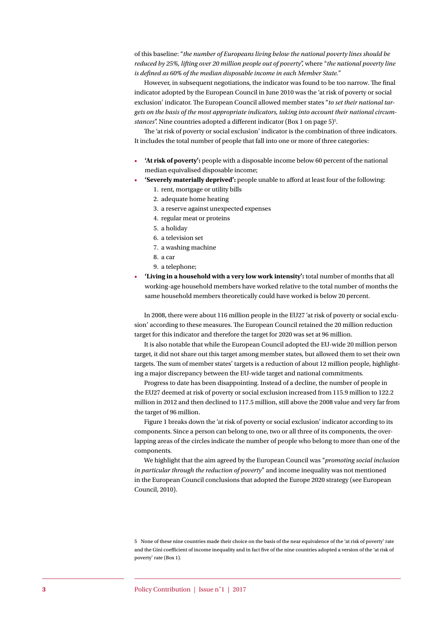of this baseline: "*the number of Europeans living below the national poverty lines should be reduced by 25%, lifting over 20 million people out of poverty*", where "*the national poverty line is defined as 60% of the median disposable income in each Member State.*"

However, in subsequent negotiations, the indicator was found to be too narrow. The final indicator adopted by the European Council in June 2010 was the 'at risk of poverty or social exclusion' indicator. The European Council allowed member states "*to set their national targets on the basis of the most appropriate indicators, taking into account their national circum*stances". Nine countries adopted a different indicator (Box 1 on page 5)<sup>5</sup>.

The 'at risk of poverty or social exclusion' indicator is the combination of three indicators. It includes the total number of people that fall into one or more of three categories:

- **'At risk of poverty':** people with a disposable income below 60 percent of the national median equivalised disposable income;
- **'Severely materially deprived':** people unable to afford at least four of the following: 1. rent, mortgage or utility bills
	- 2. adequate home heating
	- 3. a reserve against unexpected expenses
	- 4. regular meat or proteins
	- 5. a holiday
	- 6. a television set
	- 7. a washing machine
	- 8. a car
	- 9. a telephone;
- **'Living in a household with a very low work intensity':** total number of months that all working-age household members have worked relative to the total number of months the same household members theoretically could have worked is below 20 percent.

In 2008, there were about 116 million people in the EU27 'at risk of poverty or social exclusion' according to these measures. The European Council retained the 20 million reduction target for this indicator and therefore the target for 2020 was set at 96 million.

It is also notable that while the European Council adopted the EU-wide 20 million person target, it did not share out this target among member states, but allowed them to set their own targets. The sum of member states' targets is a reduction of about 12 million people, highlighting a major discrepancy between the EU-wide target and national commitments.

Progress to date has been disappointing. Instead of a decline, the number of people in the EU27 deemed at risk of poverty or social exclusion increased from 115.9 million to 122.2 million in 2012 and then declined to 117.5 million, still above the 2008 value and very far from the target of 96 million.

[Figure 1](#page-3-0) breaks down the 'at risk of poverty or social exclusion' indicator according to its components. Since a person can belong to one, two or all three of its components, the overlapping areas of the circles indicate the number of people who belong to more than one of the components.

We highlight that the aim agreed by the European Council was "*promoting social inclusion in particular through the reduction of poverty*" and income inequality was not mentioned in the European Council conclusions that adopted the Europe 2020 strategy (see European Council, 2010).

<sup>5</sup> None of these nine countries made their choice on the basis of the near equivalence of the 'at risk of poverty' rate and the Gini coefficient of income inequality and in fact five of the nine countries adopted a version of the 'at risk of poverty' rate (Box 1).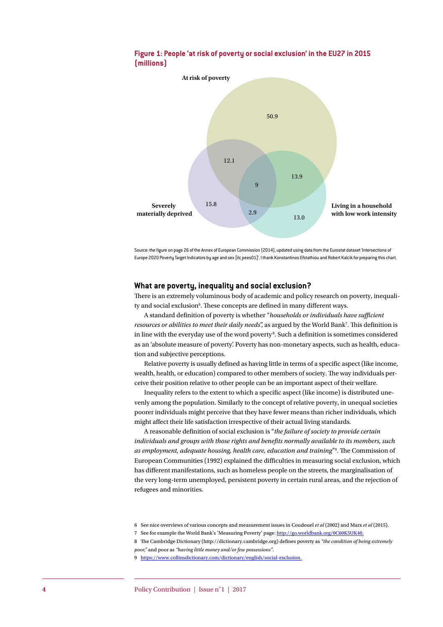

#### <span id="page-3-0"></span>**Figure 1: People 'at risk of poverty or social exclusion' in the EU27 in 2015 (millions)**

Source: the figure on page 26 of the Annex of European Commission (2014), updated using data from the Eurostat dataset 'Intersections of Europe 2020 Poverty Target Indicators by age and sex [ilc pees01]'. I thank Konstantinos Efstathiou and Robert Kalcik for preparing this chart.

#### **What are poverty, inequality and social exclusion?**

There is an extremely voluminous body of academic and policy research on poverty, inequality and social exclusion<sup>6</sup>. These concepts are defined in many different ways.

A standard definition of poverty is whether "*households or individuals have sufficient*  resources or abilities to meet their daily needs", as argued by the World Bank<sup>7</sup>. This definition is in line with the everyday use of the word poverty<sup>8</sup>. Such a definition is sometimes considered as an 'absolute measure of poverty'. Poverty has non-monetary aspects, such as health, education and subjective perceptions.

Relative poverty is usually defined as having little in terms of a specific aspect (like income, wealth, health, or education) compared to other members of society. The way individuals perceive their position relative to other people can be an important aspect of their welfare.

Inequality refers to the extent to which a specific aspect (like income) is distributed unevenly among the population. Similarly to the concept of relative poverty, in unequal societies poorer individuals might perceive that they have fewer means than richer individuals, which might affect their life satisfaction irrespective of their actual living standards.

A reasonable definition of social exclusion is "*the failure of society to provide certain individuals and groups with those rights and benefits normally available to its members, such as employment, adequate housing, health care, education and training*"9 . The Commission of European Communities (1992) explained the difficulties in measuring social exclusion, which has different manifestations, such as homeless people on the streets, the marginalisation of the very long-term unemployed, persistent poverty in certain rural areas, and the rejection of refugees and minorities.

<sup>6</sup> See nice overviews of various concepts and measurement issues in Coudouel *et al* (2002) and Marx *et al* (2015).

<sup>7</sup> See for example the World Bank's 'Measuring Poverty' page: <http://go.worldbank.org/0C60K5UK40>.

<sup>8</sup> The Cambridge Dictionary (http://dictionary.cambridge.org) defines poverty as *"the condition of being extremely poor,"* and poor as *"having little money and/or few possessions"*.

<sup>9</sup> [https://www.collinsdictionary.com/dictionary/english/social-exclusion.](https://www.collinsdictionary.com/dictionary/english/social-exclusion)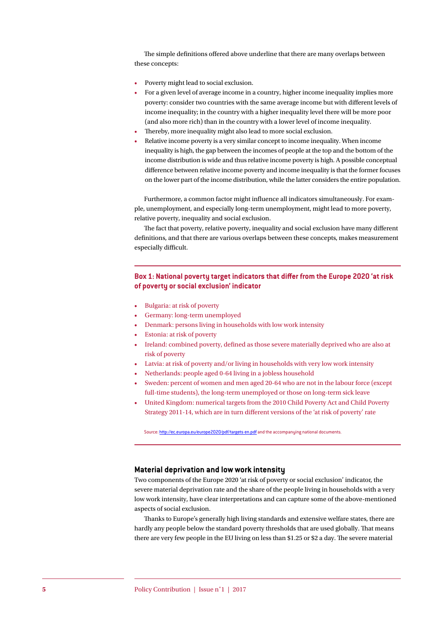The simple definitions offered above underline that there are many overlaps between these concepts:

- Poverty might lead to social exclusion.
- For a given level of average income in a country, higher income inequality implies more poverty: consider two countries with the same average income but with different levels of income inequality; in the country with a higher inequality level there will be more poor (and also more rich) than in the country with a lower level of income inequality.
- Thereby, more inequality might also lead to more social exclusion.
- Relative income poverty is a very similar concept to income inequality. When income inequality is high, the gap between the incomes of people at the top and the bottom of the income distribution is wide and thus relative income poverty is high. A possible conceptual difference between relative income poverty and income inequality is that the former focuses on the lower part of the income distribution, while the latter considers the entire population.

Furthermore, a common factor might influence all indicators simultaneously. For example, unemployment, and especially long-term unemployment, might lead to more poverty, relative poverty, inequality and social exclusion.

The fact that poverty, relative poverty, inequality and social exclusion have many different definitions, and that there are various overlaps between these concepts, makes measurement especially difficult.

#### **Box 1: National poverty target indicators that differ from the Europe 2020 'at risk of poverty or social exclusion' indicator**

- Bulgaria: at risk of poverty
- Germany: long-term unemployed
- Denmark: persons living in households with low work intensity
- Estonia: at risk of poverty
- Ireland: combined poverty, defined as those severe materially deprived who are also at risk of poverty
- Latvia: at risk of poverty and/or living in households with very low work intensity
- Netherlands: people aged 0-64 living in a jobless household
- Sweden: percent of women and men aged 20-64 who are not in the labour force (except full-time students), the long-term unemployed or those on long-term sick leave
- United Kingdom: numerical targets from the 2010 Child Poverty Act and Child Poverty Strategy 2011-14, which are in turn different versions of the 'at risk of poverty' rate

Source: http://ec.europa.eu/europe2020/pdf/targets en.pdf and the accompanying national documents.

#### **Material deprivation and low work intensity**

Two components of the Europe 2020 'at risk of poverty or social exclusion' indicator, the severe material deprivation rate and the share of the people living in households with a very low work intensity, have clear interpretations and can capture some of the above-mentioned aspects of social exclusion.

Thanks to Europe's generally high living standards and extensive welfare states, there are hardly any people below the standard poverty thresholds that are used globally. That means there are very few people in the EU living on less than \$1.25 or \$2 a day. The severe material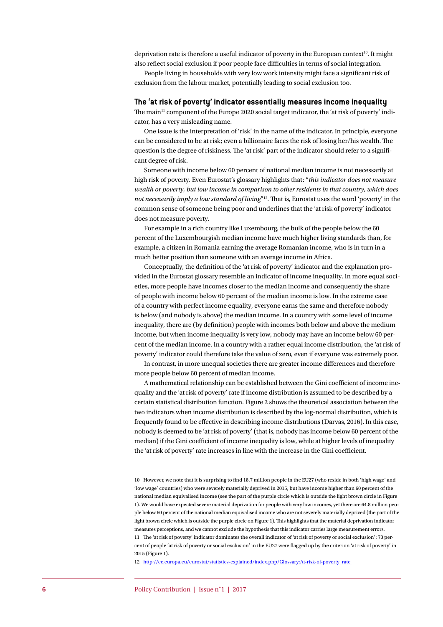deprivation rate is therefore a useful indicator of poverty in the European context<sup>10</sup>. It might also reflect social exclusion if poor people face difficulties in terms of social integration.

People living in households with very low work intensity might face a significant risk of exclusion from the labour market, potentially leading to social exclusion too.

#### **The 'at risk of poverty' indicator essentially measures income inequality**

The main<sup>11</sup> component of the Europe 2020 social target indicator, the 'at risk of poverty' indicator, has a very misleading name.

One issue is the interpretation of 'risk' in the name of the indicator. In principle, everyone can be considered to be at risk; even a billionaire faces the risk of losing her/his wealth. The question is the degree of riskiness. The 'at risk' part of the indicator should refer to a significant degree of risk.

Someone with income below 60 percent of national median income is not necessarily at high risk of poverty. Even Eurostat's glossary highlights that: "*this indicator does not measure wealth or poverty, but low income in comparison to other residents in that country, which does not necessarily imply a low standard of living*"12. That is, Eurostat uses the word 'poverty' in the common sense of someone being poor and underlines that the 'at risk of poverty' indicator does not measure poverty.

For example in a rich country like Luxembourg, the bulk of the people below the 60 percent of the Luxembourgish median income have much higher living standards than, for example, a citizen in Romania earning the average Romanian income, who is in turn in a much better position than someone with an average income in Africa.

Conceptually, the definition of the 'at risk of poverty' indicator and the explanation provided in the Eurostat glossary resemble an indicator of income inequality. In more equal societies, more people have incomes closer to the median income and consequently the share of people with income below 60 percent of the median income is low. In the extreme case of a country with perfect income equality, everyone earns the same and therefore nobody is below (and nobody is above) the median income. In a country with some level of income inequality, there are (by definition) people with incomes both below and above the medium income, but when income inequality is very low, nobody may have an income below 60 percent of the median income. In a country with a rather equal income distribution, the 'at risk of poverty' indicator could therefore take the value of zero, even if everyone was extremely poor.

In contrast, in more unequal societies there are greater income differences and therefore more people below 60 percent of median income.

A mathematical relationship can be established between the Gini coefficient of income inequality and the 'at risk of poverty' rate if income distribution is assumed to be described by a certain statistical distribution function. [Figure 2](#page-6-0) shows the theoretical association between the two indicators when income distribution is described by the log-normal distribution, which is frequently found to be effective in describing income distributions (Darvas, 2016). In this case, nobody is deemed to be 'at risk of poverty' (that is, nobody has income below 60 percent of the median) if the Gini coefficient of income inequality is low, while at higher levels of inequality the 'at risk of poverty' rate increases in line with the increase in the Gini coefficient.

10 However, we note that it is surprising to find 18.7 million people in the EU27 (who reside in both 'high wage' and 'low wage' countries) who were severely materially deprived in 2015, but have income higher than 60 percent of the national median equivalised income (see the part of the purple circle which is outside the light brown circle in [Figure](#page-3-0)  [1](#page-3-0)). We would have expected severe material deprivation for people with very low incomes, yet there are 64.8 million people below 60 percent of the national median equivalised income who are not severely materially deprived (the part of the light brown circle which is outside the purple circle on [Figure 1\)](#page-3-0). This highlights that the material deprivation indicator measures perceptions, and we cannot exclude the hypothesis that this indicator carries large measurement errors. 11 The 'at risk of poverty' indicator dominates the overall indicator of 'at risk of poverty or social exclusion': 73 percent of people 'at risk of poverty or social exclusion' in the EU27 were flagged up by the criterion 'at risk of poverty' in 2015 ([Figure 1\)](#page-3-0).

12 [http://ec.europa.eu/eurostat/statistics-explained/index.php/Glossary:At-risk-of-poverty\\_rate](http://ec.europa.eu/eurostat/statistics-explained/index.php/Glossary:At-risk-of-poverty_rate).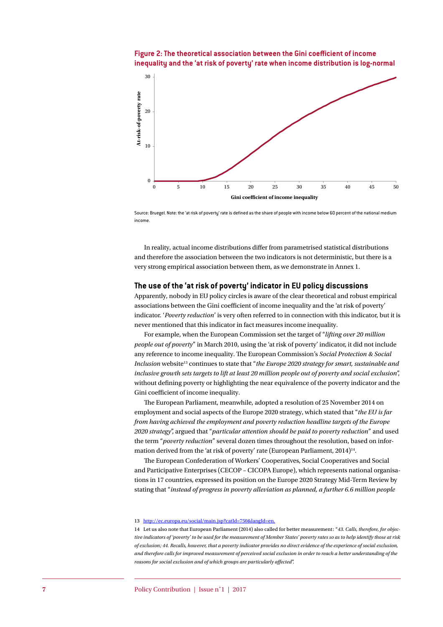<span id="page-6-0"></span>**Figure 2: The theoretical association between the Gini coefficient of income inequality and the 'at risk of poverty' rate when income distribution is log-normal**



Source: Bruegel. Note: the 'at risk of poverty' rate is defined as the share of people with income below 60 percent of the national medium income.

In reality, actual income distributions differ from parametrised statistical distributions and therefore the association between the two indicators is not deterministic, but there is a very strong empirical association between them, as we demonstrate in Annex 1.

#### **The use of the 'at risk of poverty' indicator in EU policy discussions**

Apparently, nobody in EU policy circles is aware of the clear theoretical and robust empirical associations between the Gini coefficient of income inequality and the 'at risk of poverty' indicator. '*Poverty reduction*' is very often referred to in connection with this indicator, but it is never mentioned that this indicator in fact measures income inequality.

For example, when the European Commission set the target of "*lifting over 20 million people out of poverty*" in March 2010, using the 'at risk of poverty' indicator, it did not include any reference to income inequality. The European Commission's *Social Protection & Social Inclusion* website13 continues to state that "*the Europe 2020 strategy for smart, sustainable and inclusive growth sets targets to lift at least 20 million people out of poverty and social exclusion*", without defining poverty or highlighting the near equivalence of the poverty indicator and the Gini coefficient of income inequality.

The European Parliament, meanwhile, adopted a resolution of 25 November 2014 on employment and social aspects of the Europe 2020 strategy, which stated that "*the EU is far from having achieved the employment and poverty reduction headline targets of the Europe 2020 strategy*", argued that "*particular attention should be paid to poverty reduction*" and used the term "*poverty reduction*" several dozen times throughout the resolution, based on information derived from the 'at risk of poverty' rate (European Parliament, 2014)<sup>14</sup>.

The European Confederation of Workers' Cooperatives, Social Cooperatives and Social and Participative Enterprises (CECOP – CICOPA Europe), which represents national organisations in 17 countries, expressed its position on the Europe 2020 Strategy Mid-Term Review by stating that "*instead of progress in poverty alleviation as planned, a further 6.6 million people* 

#### 13 <http://ec.europa.eu/social/main.jsp?catId=750&langId=en>.

<sup>14</sup> Let us also note that European Parliament (2014) also called for better measurement: "*43. Calls, therefore, for objective indicators of 'poverty' to be used for the measurement of Member States' poverty rates so as to help identify those at risk of exclusion; 44. Recalls, however, that a poverty indicator provides no direct evidence of the experience of social exclusion, and therefore calls for improved measurement of perceived social exclusion in order to reach a better understanding of the reasons for social exclusion and of which groups are particularly affected*".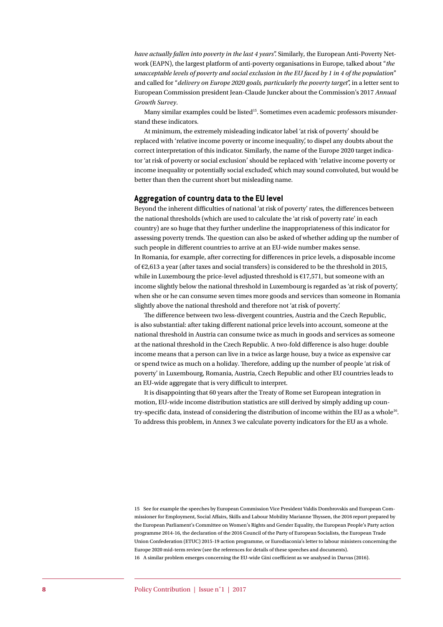*have actually fallen into poverty in the last 4 years*". Similarly, the European Anti-Poverty Network (EAPN), the largest platform of anti-poverty organisations in Europe, talked about "*the unacceptable levels of poverty and social exclusion in the EU faced by 1 in 4 of the population*" and called for "*delivery on Europe 2020 goals, particularly the poverty target*", in a letter sent to European Commission president Jean-Claude Juncker about the Commission's 2017 *Annual Growth Survey*.

Many similar examples could be listed<sup>15</sup>. Sometimes even academic professors misunderstand these indicators.

At minimum, the extremely misleading indicator label 'at risk of poverty' should be replaced with 'relative income poverty or income inequality', to dispel any doubts about the correct interpretation of this indicator. Similarly, the name of the Europe 2020 target indicator 'at risk of poverty or social exclusion' should be replaced with 'relative income poverty or income inequality or potentially social excluded', which may sound convoluted, but would be better than then the current short but misleading name.

#### **Aggregation of country data to the EU level**

Beyond the inherent difficulties of national 'at risk of poverty' rates, the differences between the national thresholds (which are used to calculate the 'at risk of poverty rate' in each country) are so huge that they further underline the inappropriateness of this indicator for assessing poverty trends. The question can also be asked of whether adding up the number of such people in different countries to arrive at an EU-wide number makes sense. In Romania, for example, after correcting for differences in price levels, a disposable income of  $\epsilon$ 2,613 a year (after taxes and social transfers) is considered to be the threshold in 2015, while in Luxembourg the price-level adjusted threshold is  $E17,571$ , but someone with an income slightly below the national threshold in Luxembourg is regarded as 'at risk of poverty', when she or he can consume seven times more goods and services than someone in Romania slightly above the national threshold and therefore not 'at risk of poverty'.

The difference between two less-divergent countries, Austria and the Czech Republic, is also substantial: after taking different national price levels into account, someone at the national threshold in Austria can consume twice as much in goods and services as someone at the national threshold in the Czech Republic. A two-fold difference is also huge: double income means that a person can live in a twice as large house, buy a twice as expensive car or spend twice as much on a holiday. Therefore, adding up the number of people 'at risk of poverty' in Luxembourg, Romania, Austria, Czech Republic and other EU countries leads to an EU-wide aggregate that is very difficult to interpret.

It is disappointing that 60 years after the Treaty of Rome set European integration in motion, EU-wide income distribution statistics are still derived by simply adding up country-specific data, instead of considering the distribution of income within the EU as a whole16. To address this problem, in Annex 3 we calculate poverty indicators for the EU as a whole.

15 See for example the speeches by European Commission Vice President Valdis Dombrovskis and European Commissioner for Employment, Social Affairs, Skills and Labour Mobility Marianne Thyssen, the 2016 report prepared by the European Parliament's Committee on Women's Rights and Gender Equality, the European People's Party action programme 2014-16, the declaration of the 2016 Council of the Party of European Socialists, the European Trade Union Confederation (ETUC) 2015-19 action programme, or Eurodiaconia's letter to labour ministers concerning the Europe 2020 mid-term review (see the references for details of these speeches and documents). 16 A similar problem emerges concerning the EU-wide Gini coefficient as we analysed in Darvas (2016).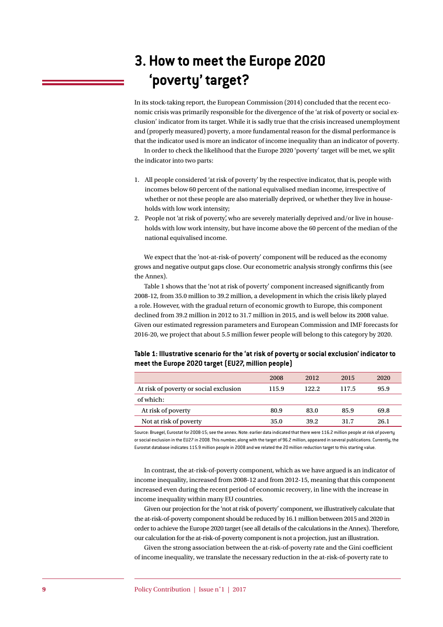## **3. How to meet the Europe 2020 'poverty' target?**

In its stock-taking report, the European Commission (2014) concluded that the recent economic crisis was primarily responsible for the divergence of the 'at risk of poverty or social exclusion' indicator from its target. While it is sadly true that the crisis increased unemployment and (properly measured) poverty, a more fundamental reason for the dismal performance is that the indicator used is more an indicator of income inequality than an indicator of poverty.

In order to check the likelihood that the Europe 2020 'poverty' target will be met, we split the indicator into two parts:

- 1. All people considered 'at risk of poverty' by the respective indicator, that is, people with incomes below 60 percent of the national equivalised median income, irrespective of whether or not these people are also materially deprived, or whether they live in households with low work intensity;
- 2. People not 'at risk of poverty', who are severely materially deprived and/or live in households with low work intensity, but have income above the 60 percent of the median of the national equivalised income.

We expect that the 'not-at-risk-of poverty' component will be reduced as the economy grows and negative output gaps close. Our econometric analysis strongly confirms this (see the Annex).

[Table 1](#page-8-0) shows that the 'not at risk of poverty' component increased significantly from 2008-12, from 35.0 million to 39.2 million, a development in which the crisis likely played a role. However, with the gradual return of economic growth to Europe, this component declined from 39.2 million in 2012 to 31.7 million in 2015, and is well below its 2008 value. Given our estimated regression parameters and European Commission and IMF forecasts for 2016-20, we project that about 5.5 million fewer people will belong to this category by 2020.

<span id="page-8-0"></span>

| meet the Europe 2020 target (EU27, million people)                                           |  |  |  |  |  |  |
|----------------------------------------------------------------------------------------------|--|--|--|--|--|--|
| Table 1: Illustrative scenario for the 'at risk of poverty or social exclusion' indicator to |  |  |  |  |  |  |

|                                        | 2008  | 2012   | 2015  | 2020 |
|----------------------------------------|-------|--------|-------|------|
| At risk of poverty or social exclusion | 115.9 | 122.2. | 117.5 | 95.9 |
| of which:                              |       |        |       |      |
| At risk of poverty                     | 80.9  | 83.0   | 85.9  | 69.8 |
| Not at risk of poverty                 | 35.0  | 39.2   | 31.7  | 26.1 |

Source: Bruegel, Eurostat for 2008-15; see the annex. Note: earlier data indicated that there were 116.2 million people at risk of poverty or social exclusion in the EU27 in 2008. This number, along with the target of 96.2 million, appeared in several publications. Currently, the Eurostat database indicates 115.9 million people in 2008 and we related the 20 million reduction target to this starting value.

In contrast, the at-risk-of-poverty component, which as we have argued is an indicator of income inequality, increased from 2008-12 and from 2012-15, meaning that this component increased even during the recent period of economic recovery, in line with the increase in income inequality within many EU countries.

Given our projection for the 'not at risk of poverty' component, we illustratively calculate that the at-risk-of-poverty component should be reduced by 16.1 million between 2015 and 2020 in order to achieve the Europe 2020 target (see all details of the calculations in the Annex). Therefore, our calculation for the at-risk-of-poverty component is not a projection, just an illustration.

Given the strong association between the at-risk-of-poverty rate and the Gini coefficient of income inequality, we translate the necessary reduction in the at-risk-of-poverty rate to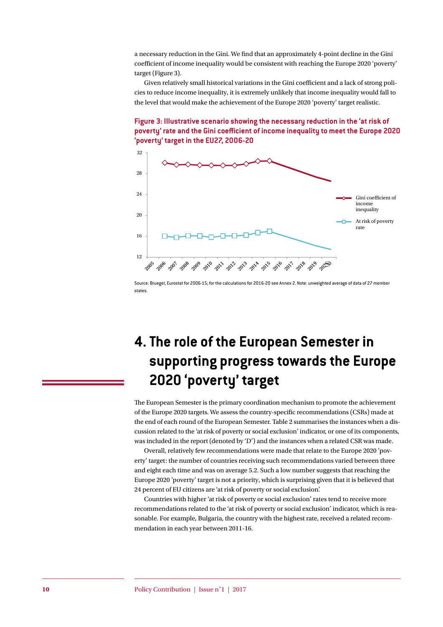a necessary reduction in the Gini. We find that an approximately 4-point decline in the Gini coefficient of income inequality would be consistent with reaching the Europe 2020 'poverty' target ([Figure 3\)](#page-9-0).

Given relatively small historical variations in the Gini coefficient and a lack of strong policies to reduce income inequality, it is extremely unlikely that income inequality would fall to the level that would make the achievement of the Europe 2020 'poverty' target realistic.

<span id="page-9-0"></span>



Source: Bruegel, Eurostat for 2006-15; for the calculations for 2016-20 see Annex 2. Note: unweighted average of data of 27 member states.

## **4. The role of the European Semester in supporting progress towards the Europe 2020 'poverty' target**

The European Semester is the primary coordination mechanism to promote the achievement of the Europe 2020 targets. We assess the country-specific recommendations (CSRs) made at the end of each round of the European Semester. [Table 2](#page-10-0) summarises the instances when a discussion related to the 'at risk of poverty or social exclusion' indicator, or one of its components, was included in the report (denoted by 'D') and the instances when a related CSR was made.

Overall, relatively few recommendations were made that relate to the Europe 2020 'poverty' target: the number of countries receiving such recommendations varied between three and eight each time and was on average 5.2. Such a low number suggests that reaching the Europe 2020 'poverty' target is not a priority, which is surprising given that it is believed that 24 percent of EU citizens are 'at risk of poverty or social exclusion'.

Countries with higher 'at risk of poverty or social exclusion' rates tend to receive more recommendations related to the 'at risk of poverty or social exclusion' indicator, which is reasonable. For example, Bulgaria, the country with the highest rate, received a related recommendation in each year between 2011-16.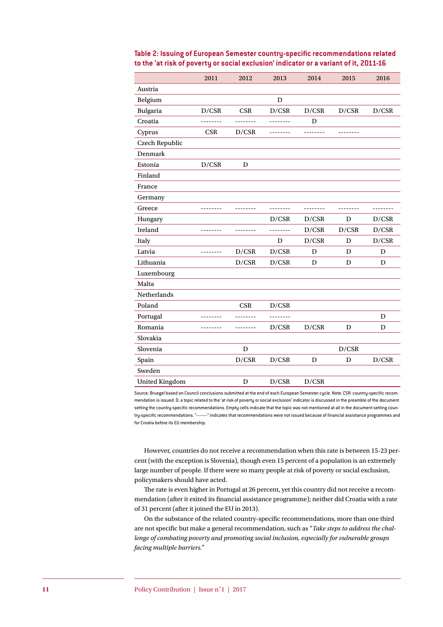|                       | 2011     | 2012       | 2013     | 2014     | 2015     | 2016     |
|-----------------------|----------|------------|----------|----------|----------|----------|
| Austria               |          |            |          |          |          |          |
| Belgium               |          |            | D        |          |          |          |
| Bulgaria              | D/CSR    | <b>CSR</b> | D/CSR    | D/CSR    | D/CSR    | D/CSR    |
| Croatia               | -------- | -------    | -------- | D        |          |          |
| Cyprus                | CSR      | D/CSR      | -------- | -------- | -------- |          |
| Czech Republic        |          |            |          |          |          |          |
| Denmark               |          |            |          |          |          |          |
| Estonia               | D/CSR    | D          |          |          |          |          |
| Finland               |          |            |          |          |          |          |
| France                |          |            |          |          |          |          |
| Germany               |          |            |          |          |          |          |
| Greece                | -------- | --------   | -------- | -------- | -------- | -------- |
| Hungary               |          |            | D/CSR    | D/CSR    | D        | D/CSR    |
| Ireland               | -------- | --------   | -------- | D/CSR    | D/CSR    | D/CSR    |
| Italy                 |          |            | D        | D/CSR    | D        | D/CSR    |
| Latvia                | -------- | D/CSR      | D/CSR    | D        | D        | D        |
| Lithuania             |          | D/CSR      | D/CSR    | D        | D        | D        |
| Luxembourg            |          |            |          |          |          |          |
| Malta                 |          |            |          |          |          |          |
| Netherlands           |          |            |          |          |          |          |
| Poland                |          | <b>CSR</b> | D/CSR    |          |          |          |
| Portugal              | -------- | ------     | -------- |          |          | D        |
| Romania               | -------- | --------   | D/CSR    | D/CSR    | D        | D        |
| Slovakia              |          |            |          |          |          |          |
| Slovenia              |          | D          |          |          | D/CSR    |          |
| Spain                 |          | D/CSR      | D/CSR    | D        | D        | D/CSR    |
| Sweden                |          |            |          |          |          |          |
| <b>United Kingdom</b> |          | D          | D/CSR    | D/CSR    |          |          |

<span id="page-10-0"></span>**Table 2: Issuing of European Semester country-specific recommendations related to the 'at risk of poverty or social exclusion' indicator or a variant of it, 2011-16**

Source: Bruegel based on Council conclusions submitted at the end of each European Semester cycle. Note: CSR: country-specific recommendation is issued. D: a topic related to the 'at risk of poverty or social exclusion' indicator is discussed in the preamble of the document setting the country-specific recommendations. Empty cells indicate that the topic was not mentioned at all in the document setting country-specific recommendations. "--------" indicates that recommendations were not issued because of financial assistance programmes and for Croatia before its EU membership.

However, countries do not receive a recommendation when this rate is between 15-23 percent (with the exception is Slovenia), though even 15 percent of a population is an extremely large number of people. If there were so many people at risk of poverty or social exclusion, policymakers should have acted.

The rate is even higher in Portugal at 26 percent, yet this country did not receive a recommendation (after it exited its financial assistance programme); neither did Croatia with a rate of 31 percent (after it joined the EU in 2013).

On the substance of the related country-specific recommendations, more than one third are not specific but make a general recommendation, such as "*Take steps to address the challenge of combating poverty and promoting social inclusion, especially for vulnerable groups facing multiple barriers.*"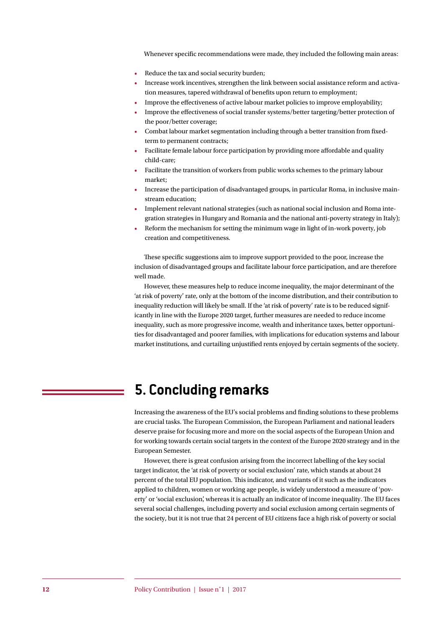Whenever specific recommendations were made, they included the following main areas:

- Reduce the tax and social security burden;
- Increase work incentives, strengthen the link between social assistance reform and activation measures, tapered withdrawal of benefits upon return to employment;
- Improve the effectiveness of active labour market policies to improve employability;
- Improve the effectiveness of social transfer systems/better targeting/better protection of the poor/better coverage;
- Combat labour market segmentation including through a better transition from fixedterm to permanent contracts;
- Facilitate female labour force participation by providing more affordable and quality child-care;
- Facilitate the transition of workers from public works schemes to the primary labour market;
- Increase the participation of disadvantaged groups, in particular Roma, in inclusive mainstream education;
- Implement relevant national strategies (such as national social inclusion and Roma integration strategies in Hungary and Romania and the national anti-poverty strategy in Italy);
- Reform the mechanism for setting the minimum wage in light of in-work poverty, job creation and competitiveness.

These specific suggestions aim to improve support provided to the poor, increase the inclusion of disadvantaged groups and facilitate labour force participation, and are therefore well made.

However, these measures help to reduce income inequality, the major determinant of the 'at risk of poverty' rate, only at the bottom of the income distribution, and their contribution to inequality reduction will likely be small. If the 'at risk of poverty' rate is to be reduced significantly in line with the Europe 2020 target, further measures are needed to reduce income inequality, such as more progressive income, wealth and inheritance taxes, better opportunities for disadvantaged and poorer families, with implications for education systems and labour market institutions, and curtailing unjustified rents enjoyed by certain segments of the society.

### **5. Concluding remarks**

Increasing the awareness of the EU's social problems and finding solutions to these problems are crucial tasks. The European Commission, the European Parliament and national leaders deserve praise for focusing more and more on the social aspects of the European Union and for working towards certain social targets in the context of the Europe 2020 strategy and in the European Semester.

However, there is great confusion arising from the incorrect labelling of the key social target indicator, the 'at risk of poverty or social exclusion' rate, which stands at about 24 percent of the total EU population. This indicator, and variants of it such as the indicators applied to children, women or working age people, is widely understood a measure of 'poverty' or 'social exclusion', whereas it is actually an indicator of income inequality. The EU faces several social challenges, including poverty and social exclusion among certain segments of the society, but it is not true that 24 percent of EU citizens face a high risk of poverty or social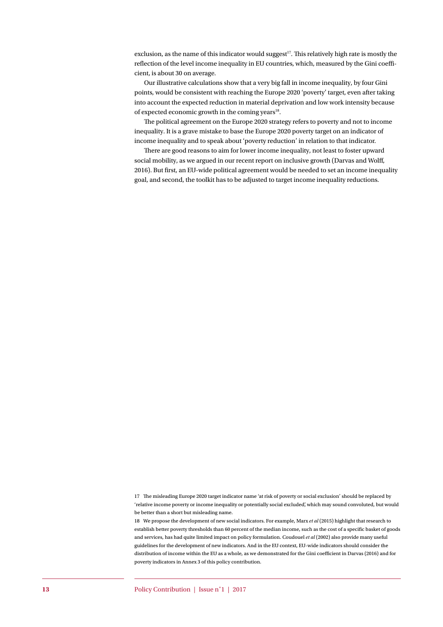exclusion, as the name of this indicator would suggest<sup>17</sup>. This relatively high rate is mostly the reflection of the level income inequality in EU countries, which, measured by the Gini coefficient, is about 30 on average.

Our illustrative calculations show that a very big fall in income inequality, by four Gini points, would be consistent with reaching the Europe 2020 'poverty' target, even after taking into account the expected reduction in material deprivation and low work intensity because of expected economic growth in the coming years<sup>18</sup>.

The political agreement on the Europe 2020 strategy refers to poverty and not to income inequality. It is a grave mistake to base the Europe 2020 poverty target on an indicator of income inequality and to speak about 'poverty reduction' in relation to that indicator.

There are good reasons to aim for lower income inequality, not least to foster upward social mobility, as we argued in our recent report on inclusive growth (Darvas and Wolff, 2016). But first, an EU-wide political agreement would be needed to set an income inequality goal, and second, the toolkit has to be adjusted to target income inequality reductions.

<sup>17</sup> The misleading Europe 2020 target indicator name 'at risk of poverty or social exclusion' should be replaced by 'relative income poverty or income inequality or potentially social excluded', which may sound convoluted, but would be better than a short but misleading name.

<sup>18</sup> We propose the development of new social indicators. For example, Marx *et al* (2015) highlight that research to establish better poverty thresholds than 60 percent of the median income, such as the cost of a specific basket of goods and services, has had quite limited impact on policy formulation. Coudouel *et al* (2002) also provide many useful guidelines for the development of new indicators. And in the EU context, EU-wide indicators should consider the distribution of income within the EU as a whole, as we demonstrated for the Gini coefficient in Darvas (2016) and for poverty indicators in Annex 3 of this policy contribution.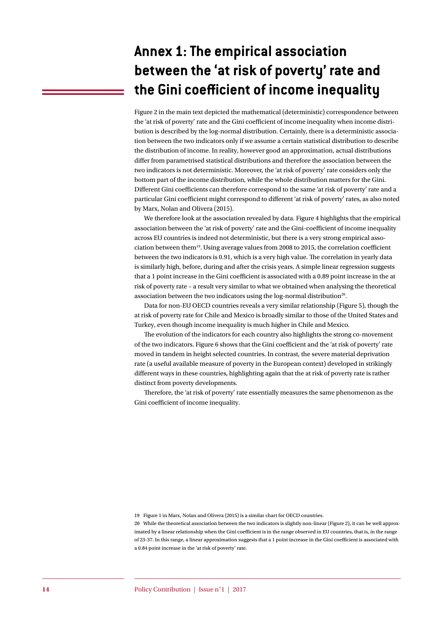## **Annex 1: The empirical association between the 'at risk of poverty' rate and the Gini coefficient of income inequality**

[Figure 2](#page-6-0) in the main text depicted the mathematical (deterministic) correspondence between the 'at risk of poverty' rate and the Gini coefficient of income inequality when income distribution is described by the log-normal distribution. Certainly, there is a deterministic association between the two indicators only if we assume a certain statistical distribution to describe the distribution of income. In reality, however good an approximation, actual distributions differ from parametrised statistical distributions and therefore the association between the two indicators is not deterministic. Moreover, the 'at risk of poverty' rate considers only the bottom part of the income distribution, while the whole distribution matters for the Gini. Different Gini coefficients can therefore correspond to the same 'at risk of poverty' rate and a particular Gini coefficient might correspond to different 'at risk of poverty' rates, as also noted by Marx, Nolan and Olivera (2015).

We therefore look at the association revealed by data. Figure 4 highlights that the empirical association between the 'at risk of poverty' rate and the Gini-coefficient of income inequality across EU countries is indeed not deterministic, but there is a very strong empirical association between them19. Using average values from 2008 to 2015, the correlation coefficient between the two indicators is 0.91, which is a very high value. The correlation in yearly data is similarly high, before, during and after the crisis years. A simple linear regression suggests that a 1 point increase in the Gini coefficient is associated with a 0.89 point increase in the at risk of poverty rate – a result very similar to what we obtained when analysing the theoretical association between the two indicators using the log-normal distribution<sup>20</sup>.

Data for non-EU OECD countries reveals a very similar relationship ([Figure 5\)](#page-14-0), though the at risk of poverty rate for Chile and Mexico is broadly similar to those of the United States and Turkey, even though income inequality is much higher in Chile and Mexico.

The evolution of the indicators for each country also highlights the strong co-movement of the two indicators. Figure 6 shows that the Gini coefficient and the 'at risk of poverty' rate moved in tandem in height selected countries. In contrast, the severe material deprivation rate (a useful available measure of poverty in the European context) developed in strikingly different ways in these countries, highlighting again that the at risk of poverty rate is rather distinct from poverty developments.

Therefore, the 'at risk of poverty' rate essentially measures the same phenomenon as the Gini coefficient of income inequality.

19 Figure 1 in Marx, Nolan and Olivera (2015) is a similar chart for OECD countries.

20 While the theoretical association between the two indicators is slightly non-linear [\(Figure 2](#page-6-0)), it can be well approximated by a linear relationship when the Gini coefficient is in the range observed in EU countries, that is, in the range of 23-37. In this range, a linear approximation suggests that a 1 point increase in the Gini coefficient is associated with a 0.84 point increase in the 'at risk of poverty' rate.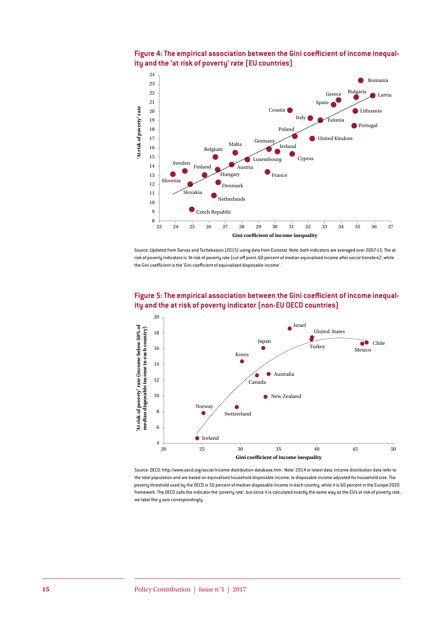



Source: Updated from Darvas and Tschekassin (2015) using data from Eurostat. Note: both indicators are averaged over 2007-15. The at risk of poverty indicators is 'At risk of poverty rate (cut-off point: 60 percent of median equivalised income after social transfers)', while the Gini coefficient is the 'Gini coefficient of equivalised disposable income'.



<span id="page-14-0"></span>

Source: OECD: <http://www.oecd.org/social/income-distribution-database.htm> . Note: 2014 or latest data. Income distribution data refer to the total population and are based on equivalised household disposable income, ie disposable income adjusted for household size. The poverty threshold used by the OECD is 50 percent of median disposable income in each country, while it is 60 percent in the Europe 2020 framework. The OECD calls the indicator the 'poverty rate', but since it is calculated exactly the same way as the EU's at risk of poverty rate, we label the y axis correspondingly.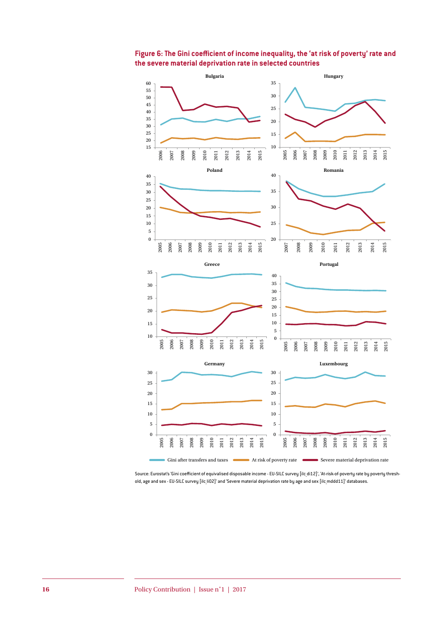

**Figure 6: The Gini coefficient of income inequality, the 'at risk of poverty' rate and the severe material deprivation rate in selected countries**

Source: Eurostat's 'Gini coefficient of equivalised disposable income - EU-SILC survey [ilc\_di12]', 'At-risk-of-poverty rate by poverty threshold, age and sex - EU-SILC survey [ilc li02]' and 'Severe material deprivation rate by age and sex [ilc mddd11]' databases.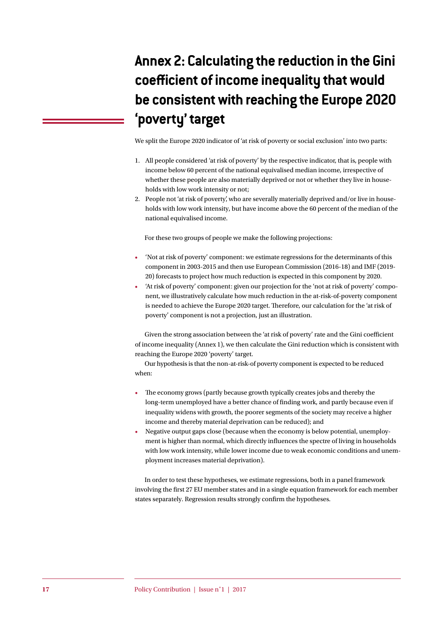## **Annex 2: Calculating the reduction in the Gini coefficient of income inequality that would be consistent with reaching the Europe 2020 'poverty' target**

We split the Europe 2020 indicator of 'at risk of poverty or social exclusion' into two parts:

- 1. All people considered 'at risk of poverty' by the respective indicator, that is, people with income below 60 percent of the national equivalised median income, irrespective of whether these people are also materially deprived or not or whether they live in households with low work intensity or not;
- 2. People not 'at risk of poverty', who are severally materially deprived and/or live in households with low work intensity, but have income above the 60 percent of the median of the national equivalised income.

For these two groups of people we make the following projections:

- 'Not at risk of poverty' component: we estimate regressions for the determinants of this component in 2003-2015 and then use European Commission (2016-18) and IMF (2019- 20) forecasts to project how much reduction is expected in this component by 2020.
- 'At risk of poverty' component: given our projection for the 'not at risk of poverty' component, we illustratively calculate how much reduction in the at-risk-of-poverty component is needed to achieve the Europe 2020 target. Therefore, our calculation for the 'at risk of poverty' component is not a projection, just an illustration.

Given the strong association between the 'at risk of poverty' rate and the Gini coefficient of income inequality (Annex 1), we then calculate the Gini reduction which is consistent with reaching the Europe 2020 'poverty' target.

Our hypothesis is that the non-at-risk-of poverty component is expected to be reduced when:

- The economy grows (partly because growth typically creates jobs and thereby the long-term unemployed have a better chance of finding work, and partly because even if inequality widens with growth, the poorer segments of the society may receive a higher income and thereby material deprivation can be reduced); and
- Negative output gaps close (because when the economy is below potential, unemployment is higher than normal, which directly influences the spectre of living in households with low work intensity, while lower income due to weak economic conditions and unemployment increases material deprivation).

In order to test these hypotheses, we estimate regressions, both in a panel framework involving the first 27 EU member states and in a single equation framework for each member states separately. Regression results strongly confirm the hypotheses.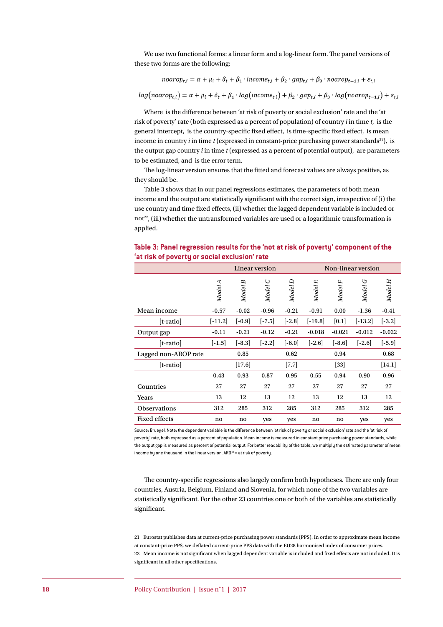We use two functional forms: a linear form and a log-linear form. The panel versions of these two forms are the following:

$$
noarop_{t,i} = \alpha + \mu_i + \delta_t + \beta_1 \cdot income_{t,i} + \beta_2 \cdot gap_{t,i} + \beta_3 \cdot noarop_{t-1,i} + \varepsilon_{t,i}
$$

$$
log(noarop_{t,i}) = \alpha + \mu_i + \delta_t + \beta_1 \cdot log(income_{t,i}) + \beta_2 \cdot gap_{t,i} + \beta_3 \cdot log(noarop_{t-1,i}) + \varepsilon_{t,i}
$$

Where is the difference between 'at risk of poverty or social exclusion' rate and the 'at risk of poverty' rate (both expressed as a percent of population) of country *i* in time *t*, is the general intercept, is the country-specific fixed effect, is time-specific fixed effect, is mean income in country *i* in time *t* (expressed in constant-price purchasing power standards<sup>21</sup>), is the output gap country *i* in time *t* (expressed as a percent of potential output), are parameters to be estimated, and is the error term.

The log-linear version ensures that the fitted and forecast values are always positive, as they should be.

[Table 3](#page-17-0) shows that in our panel regressions estimates, the parameters of both mean income and the output are statistically significant with the correct sign, irrespective of (i) the use country and time fixed effects, (ii) whether the lagged dependent variable is included or not<sup>22</sup>, (iii) whether the untransformed variables are used or a logarithmic transformation is applied.

|                      | Linear version |          |            |          | Non-linear version |          |           |          |
|----------------------|----------------|----------|------------|----------|--------------------|----------|-----------|----------|
|                      | Model A        | Model B  | O<br>Model | Model D  | Model E            | Model F  | Model G   | Model H  |
| Mean income          | $-0.57$        | $-0.02$  | $-0.96$    | $-0.21$  | $-0.91$            | 0.00     | $-1.36$   | $-0.41$  |
| [t-ratio]            | $[-11.2]$      | $[-0.9]$ | $[-7.5]$   | $[-2.8]$ | $[-19.8]$          | [0.1]    | $[-13.2]$ | $[-3.2]$ |
| Output gap           | $-0.11$        | $-0.21$  | $-0.12$    | $-0.21$  | $-0.018$           | $-0.021$ | $-0.012$  | $-0.022$ |
| [t-ratio]            | $[-1.5]$       | $[-8.3]$ | $[-2.2]$   | $[-6.0]$ | $[-2.6]$           | $[-8.6]$ | $[-2.6]$  | $[-5.9]$ |
| Lagged non-AROP rate |                | 0.85     |            | 0.62     |                    | 0.94     |           | 0.68     |
| [t-ratio]            |                | $[17.6]$ |            | $[7.7]$  |                    | $[33]$   |           | [14.1]   |
|                      | 0.43           | 0.93     | 0.87       | 0.95     | 0.55               | 0.94     | 0.90      | 0.96     |
| Countries            | 27             | 27       | 27         | 27       | 27                 | 27       | 27        | 27       |
| Years                | 13             | 12       | 13         | 12       | 13                 | 12       | 13        | 12       |
| <b>Observations</b>  | 312            | 285      | 312        | 285      | 312                | 285      | 312       | 285      |
| <b>Fixed effects</b> | no             | no       | yes        | yes      | no                 | no       | yes       | yes      |

<span id="page-17-0"></span>**Table 3: Panel regression results for the 'not at risk of poverty' component of the 'at risk of poverty or social exclusion' rate**

Source: Bruegel. Note: the dependent variable is the difference between 'at risk of poverty or social exclusion' rate and the 'at risk of poverty' rate, both expressed as a percent of population. Mean income is measured in constant price purchasing power standards, while the output gap is measured as percent of potential output. For better readability of the table, we multiply the estimated parameter of mean income by one thousand in the linear version. AROP = at risk of poverty.

The country-specific regressions also largely confirm both hypotheses. There are only four countries, Austria, Belgium, Finland and Slovenia, for which none of the two variables are statistically significant. For the other 23 countries one or both of the variables are statistically significant.

21 Eurostat publishes data at current-price purchasing power standards (PPS). In order to approximate mean income at constant-price PPS, we deflated current-price PPS data with the EU28 harmonised index of consumer prices. 22 Mean income is not significant when lagged dependent variable is included and fixed effects are not included. It is significant in all other specifications.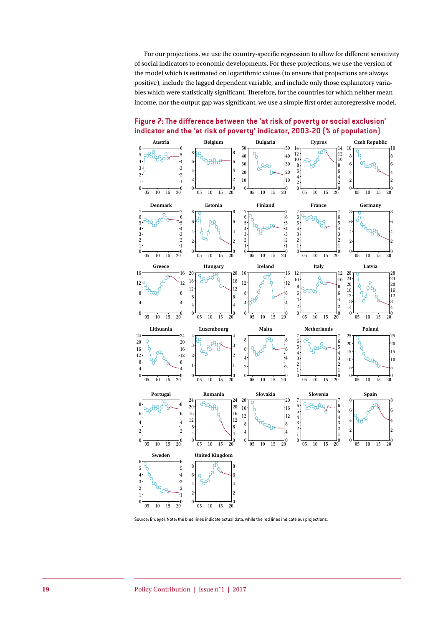For our projections, we use the country-specific regression to allow for different sensitivity of social indicators to economic developments. For these projections, we use the version of the model which is estimated on logarithmic values (to ensure that projections are always positive), include the lagged dependent variable, and include only those explanatory variables which were statistically significant. Therefore, for the countries for which neither mean income, nor the output gap was significant, we use a simple first order autoregressive model.



**Figure 7: The difference between the 'at risk of poverty or social exclusion' indicator and the 'at risk of poverty' indicator, 2003-20 (% of population)**

Source: Bruegel. Note: the blue lines indicate actual data, while the red lines indicate our projections.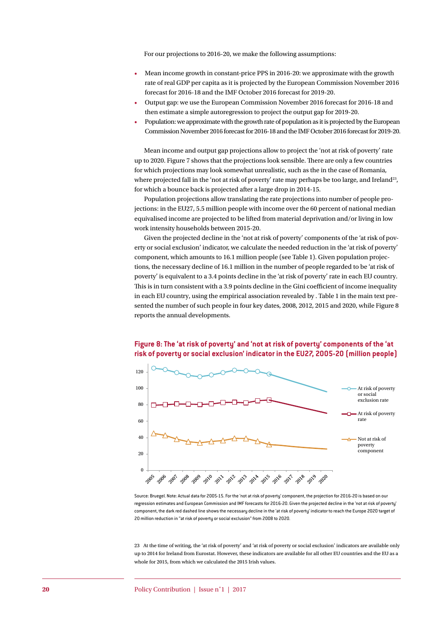For our projections to 2016-20, we make the following assumptions:

- Mean income growth in constant-price PPS in 2016-20: we approximate with the growth rate of real GDP per capita as it is projected by the European Commission November 2016 forecast for 2016-18 and the IMF October 2016 forecast for 2019-20.
- Output gap: we use the European Commission November 2016 forecast for 2016-18 and then estimate a simple autoregression to project the output gap for 2019-20.
- Population: we approximate with the growth rate of population as it is projected by the European Commission November 2016 forecast for 2016-18 and the IMF October 2016 forecast for 2019-20.

Mean income and output gap projections allow to project the 'not at risk of poverty' rate up to 2020. Figure 7 shows that the projections look sensible. There are only a few countries for which projections may look somewhat unrealistic, such as the in the case of Romania, where projected fall in the 'not at risk of poverty' rate may perhaps be too large, and Ireland<sup>23</sup>, for which a bounce back is projected after a large drop in 2014-15.

Population projections allow translating the rate projections into number of people projections: in the EU27, 5.5 million people with income over the 60 percent of national median equivalised income are projected to be lifted from material deprivation and/or living in low work intensity households between 2015-20.

Given the projected decline in the 'not at risk of poverty' components of the 'at risk of poverty or social exclusion' indicator, we calculate the needed reduction in the 'at risk of poverty' component, which amounts to 16.1 million people (see [Table 1](#page-8-0)). Given population projections, the necessary decline of 16.1 million in the number of people regarded to be 'at risk of poverty' is equivalent to a 3.4 points decline in the 'at risk of poverty' rate in each EU country. This is in turn consistent with a 3.9 points decline in the Gini coefficient of income inequality in each EU country, using the empirical association revealed by [. Table 1](#page-8-0) in the main text presented the number of such people in four key dates, 2008, 2012, 2015 and 2020, whil[e Figure](#page-19-0) 8 reports the annual developments.



<span id="page-19-0"></span>**Figure 8: The 'at risk of poverty' and 'not at risk of poverty' components of the 'at risk of poverty or social exclusion' indicator in the EU27, 2005-20 (million people)**

23 At the time of writing, the 'at risk of poverty' and 'at risk of poverty or social exclusion' indicators are available only up to 2014 for Ireland from Eurostat. However, these indicators are available for all other EU countries and the EU as a whole for 2015, from which we calculated the 2015 Irish values.

Source: Bruegel. Note: Actual data for 2005-15. For the 'not at risk of poverty' component, the projection for 2016-20 is based on our regression estimates and European Commission and IMF forecasts for 2016-20. Given the projected decline in the 'not at risk of poverty' component, the dark red dashed line shows the necessary decline in the 'at risk of poverty' indicator to reach the Europe 2020 target of 20 million reduction in ''at risk of poverty or social exclusion'' from 2008 to 2020.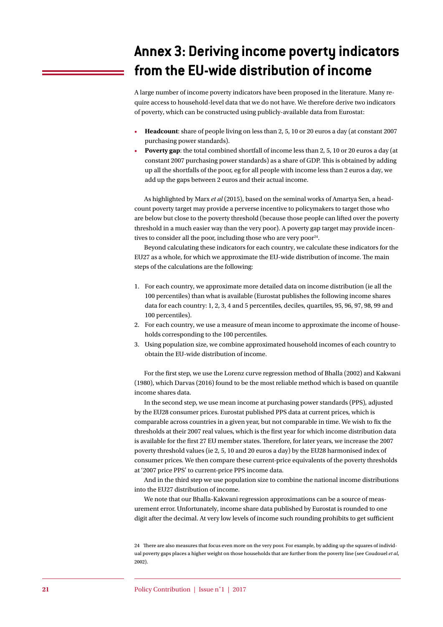## **Annex 3: Deriving income poverty indicators from the EU-wide distribution of income**

A large number of income poverty indicators have been proposed in the literature. Many require access to household-level data that we do not have. We therefore derive two indicators of poverty, which can be constructed using publicly-available data from Eurostat:

- **Headcount**: share of people living on less than 2, 5, 10 or 20 euros a day (at constant 2007 purchasing power standards).
- **Poverty gap**: the total combined shortfall of income less than 2, 5, 10 or 20 euros a day (at constant 2007 purchasing power standards) as a share of GDP. This is obtained by adding up all the shortfalls of the poor, eg for all people with income less than 2 euros a day, we add up the gaps between 2 euros and their actual income.

As highlighted by Marx *et al* (2015), based on the seminal works of Amartya Sen, a headcount poverty target may provide a perverse incentive to policymakers to target those who are below but close to the poverty threshold (because those people can lifted over the poverty threshold in a much easier way than the very poor). A poverty gap target may provide incentives to consider all the poor, including those who are very poor $24$ .

Beyond calculating these indicators for each country, we calculate these indicators for the EU27 as a whole, for which we approximate the EU-wide distribution of income. The main steps of the calculations are the following:

- 1. For each country, we approximate more detailed data on income distribution (ie all the 100 percentiles) than what is available (Eurostat publishes the following income shares data for each country: 1, 2, 3, 4 and 5 percentiles, deciles, quartiles, 95, 96, 97, 98, 99 and 100 percentiles).
- 2. For each country, we use a measure of mean income to approximate the income of households corresponding to the 100 percentiles.
- 3. Using population size, we combine approximated household incomes of each country to obtain the EU-wide distribution of income.

For the first step, we use the Lorenz curve regression method of Bhalla (2002) and Kakwani (1980), which Darvas (2016) found to be the most reliable method which is based on quantile income shares data.

In the second step, we use mean income at purchasing power standards (PPS), adjusted by the EU28 consumer prices. Eurostat published PPS data at current prices, which is comparable across countries in a given year, but not comparable in time. We wish to fix the thresholds at their 2007 real values, which is the first year for which income distribution data is available for the first 27 EU member states. Therefore, for later years, we increase the 2007 poverty threshold values (ie 2, 5, 10 and 20 euros a day) by the EU28 harmonised index of consumer prices. We then compare these current-price equivalents of the poverty thresholds at '2007 price PPS' to current-price PPS income data.

And in the third step we use population size to combine the national income distributions into the EU27 distribution of income.

We note that our Bhalla-Kakwani regression approximations can be a source of measurement error. Unfortunately, income share data published by Eurostat is rounded to one digit after the decimal. At very low levels of income such rounding prohibits to get sufficient

24 There are also measures that focus even more on the very poor. For example, by adding up the squares of individual poverty gaps places a higher weight on those households that are further from the poverty line (see Coudouel *et al*, 2002).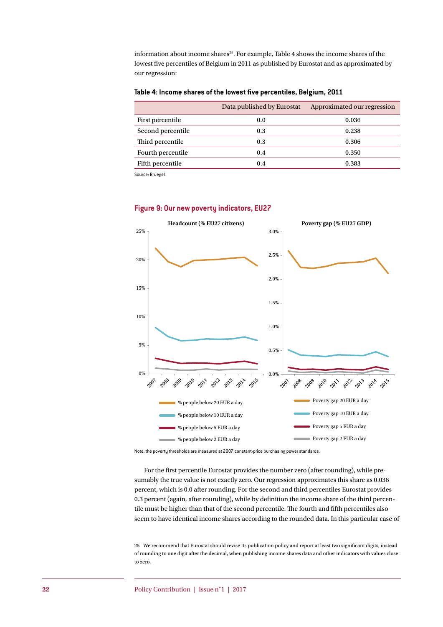information about income shares<sup>25</sup>. For example, Table 4 shows the income shares of the lowest five percentiles of Belgium in 2011 as published by Eurostat and as approximated by our regression:

#### **Table 4: Income shares of the lowest five percentiles, Belgium, 2011**

|                   | Data published by Eurostat | Approximated our regression |
|-------------------|----------------------------|-----------------------------|
| First percentile  | 0.0                        | 0.036                       |
| Second percentile | 0.3                        | 0.238                       |
| Third percentile  | 0.3                        | 0.306                       |
| Fourth percentile | 0.4                        | 0.350                       |
| Fifth percentile  | 0.4                        | 0.383                       |

Source: Bruegel.



#### **Figure 9: Our new poverty indicators, EU27**

Note: the poverty thresholds are measured at 2007 constant-price purchasing power standards.

For the first percentile Eurostat provides the number zero (after rounding), while presumably the true value is not exactly zero. Our regression approximates this share as 0.036 percent, which is 0.0 after rounding. For the second and third percentiles Eurostat provides 0.3 percent (again, after rounding), while by definition the income share of the third percentile must be higher than that of the second percentile. The fourth and fifth percentiles also seem to have identical income shares according to the rounded data. In this particular case of

25 We recommend that Eurostat should revise its publication policy and report at least two significant digits, instead of rounding to one digit after the decimal, when publishing income shares data and other indicators with values close to zero.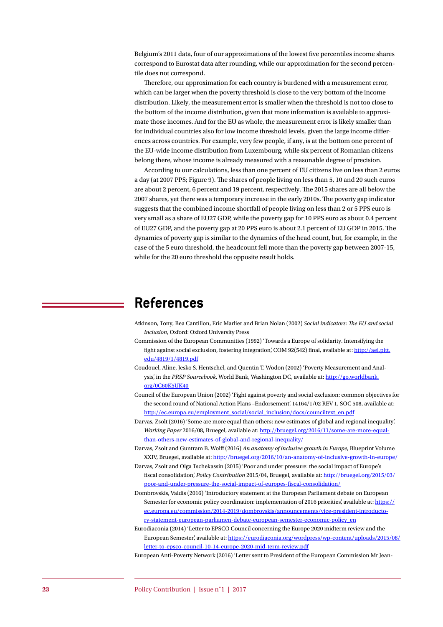Belgium's 2011 data, four of our approximations of the lowest five percentiles income shares correspond to Eurostat data after rounding, while our approximation for the second percentile does not correspond.

Therefore, our approximation for each country is burdened with a measurement error, which can be larger when the poverty threshold is close to the very bottom of the income distribution. Likely, the measurement error is smaller when the threshold is not too close to the bottom of the income distribution, given that more information is available to approximate those incomes. And for the EU as whole, the measurement error is likely smaller than for individual countries also for low income threshold levels, given the large income differences across countries. For example, very few people, if any, is at the bottom one percent of the EU-wide income distribution from Luxembourg, while six percent of Romanian citizens belong there, whose income is already measured with a reasonable degree of precision.

According to our calculations, less than one percent of EU citizens live on less than 2 euros a day (at 2007 PPS; [Figure 9\)](#page-3-0). The shares of people living on less than 5, 10 and 20 such euros are about 2 percent, 6 percent and 19 percent, respectively. The 2015 shares are all below the 2007 shares, yet there was a temporary increase in the early 2010s. The poverty gap indicator suggests that the combined income shortfall of people living on less than 2 or 5 PPS euro is very small as a share of EU27 GDP, while the poverty gap for 10 PPS euro as about 0.4 percent of EU27 GDP, and the poverty gap at 20 PPS euro is about 2.1 percent of EU GDP in 2015. The dynamics of poverty gap is similar to the dynamics of the head count, but, for example, in the case of the 5 euro threshold, the headcount fell more than the poverty gap between 2007-15, while for the 20 euro threshold the opposite result holds.

### **References**

- Atkinson, Tony, Bea Cantillon, Eric Marlier and Brian Nolan (2002) *Social indicators: The EU and social inclusion*, Oxford: Oxford University Press
- Commission of the European Communities (1992) 'Towards a Europe of solidarity. Intensifying the fight against social exclusion, fostering integration', COM 92(542) final, available at: [http://aei.pitt.](http://aei.pitt.edu/4819/1/4819.pdf) [edu/4819/1/4819.pdf](http://aei.pitt.edu/4819/1/4819.pdf)
- Coudouel, Aline, Jesko S. Hentschel, and Quentin T. Wodon (2002) 'Poverty Measurement and Analysis', in the *PRSP Sourcebook*, World Bank, Washington DC, available at: [http://go.worldbank.](http://go.worldbank.org/0C60K5UK40) [org/0C60K5UK40](http://go.worldbank.org/0C60K5UK40)
- Council of the European Union (2002) 'Fight against poverty and social exclusion: common objectives for the second round of National Action Plans -Endorsement', 14164/1/02 REV 1, SOC 508, available at: [http://ec.europa.eu/employment\\_social/social\\_inclusion/docs/counciltext\\_en.pdf](http://ec.europa.eu/employment_social/social_inclusion/docs/counciltext_en.pdf)
- Darvas, Zsolt (2016) 'Some are more equal than others: new estimates of global and regional inequality', *Working Paper* 2016/08, Bruegel, available at: [http://bruegel.org/2016/11/some-are-more-equal](http://bruegel.org/2016/11/some-are-more-equal-than-others-new-estimates-of-global-and-regional-inequality/)[than-others-new-estimates-of-global-and-regional-inequality/](http://bruegel.org/2016/11/some-are-more-equal-than-others-new-estimates-of-global-and-regional-inequality/)
- Darvas, Zsolt and Guntram B. Wolff (2016) *An anatomy of inclusive growth in Europe*, Blueprint Volume XXIV, Bruegel, available at: <http://bruegel.org/2016/10/an-anatomy-of-inclusive-growth-in-europe/>
- Darvas, Zsolt and Olga Tschekassin (2015) 'Poor and under pressure: the social impact of Europe's fiscal consolidation', *Policy Contribution* 2015/04, Bruegel, available at: [http://bruegel.org/2015/03/](http://bruegel.org/2015/03/poor-and-under-pressure-the-social-impact-of-europes-fiscal-consolidation/) [poor-and-under-pressure-the-social-impact-of-europes-fiscal-consolidation/](http://bruegel.org/2015/03/poor-and-under-pressure-the-social-impact-of-europes-fiscal-consolidation/)
- Dombrovskis, Valdis (2016) 'Introductory statement at the European Parliament debate on European Semester for economic policy coordination: implementation of 2016 priorities', available at: [https://](https://ec.europa.eu/commission/2014-2019/dombrovskis/announcements/vice-president-introductory-statement-european-parliamen-debate-european-semester-economic-policy_en) [ec.europa.eu/commission/2014-2019/dombrovskis/announcements/vice-president-introducto](https://ec.europa.eu/commission/2014-2019/dombrovskis/announcements/vice-president-introductory-statement-european-parliamen-debate-european-semester-economic-policy_en)[ry-statement-european-parliamen-debate-european-semester-economic-policy\\_en](https://ec.europa.eu/commission/2014-2019/dombrovskis/announcements/vice-president-introductory-statement-european-parliamen-debate-european-semester-economic-policy_en)
- Eurodiaconia (2014) 'Letter to EPSCO Council concerning the Europe 2020 midterm review and the European Semester', available at: [https://eurodiaconia.org/wordpress/wp-content/uploads/2015/08/](https://eurodiaconia.org/wordpress/wp-content/uploads/2015/08/letter-to-epsco-council-10-14-europe-2020-mid-term-review.pdf) [letter-to-epsco-council-10-14-europe-2020-mid-term-review.pdf](https://eurodiaconia.org/wordpress/wp-content/uploads/2015/08/letter-to-epsco-council-10-14-europe-2020-mid-term-review.pdf)

European Anti-Poverty Network (2016) 'Letter sent to President of the European Commission Mr Jean-